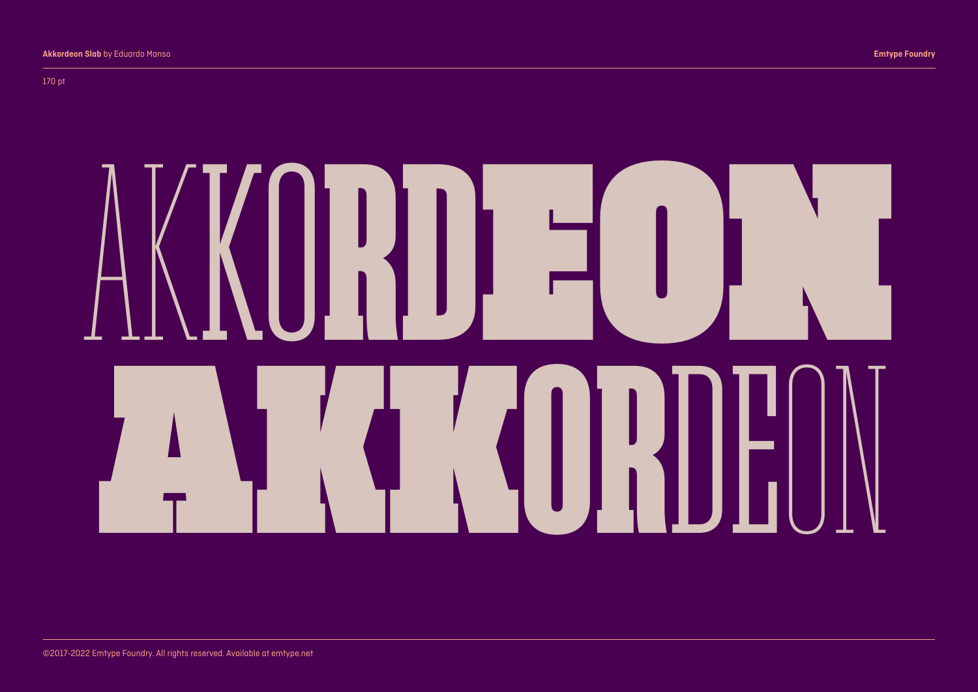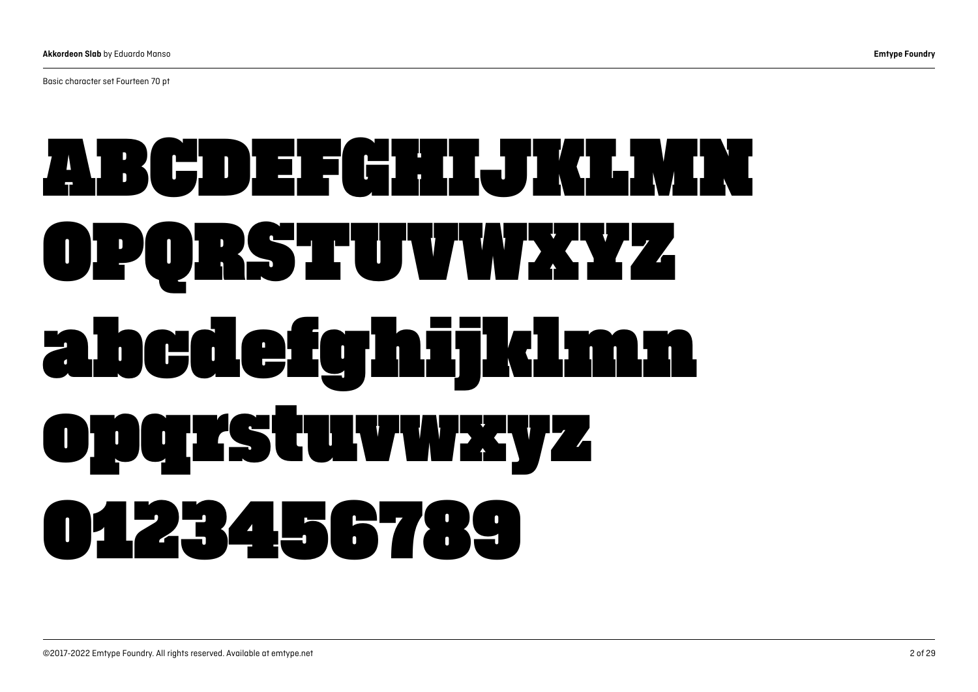Basic character set Fourteen 70 pt

## ABCDEFGHIJGLAM OPQRSTUVWXYZ abcdefghijklmn opqrstuvwxyz 0123456789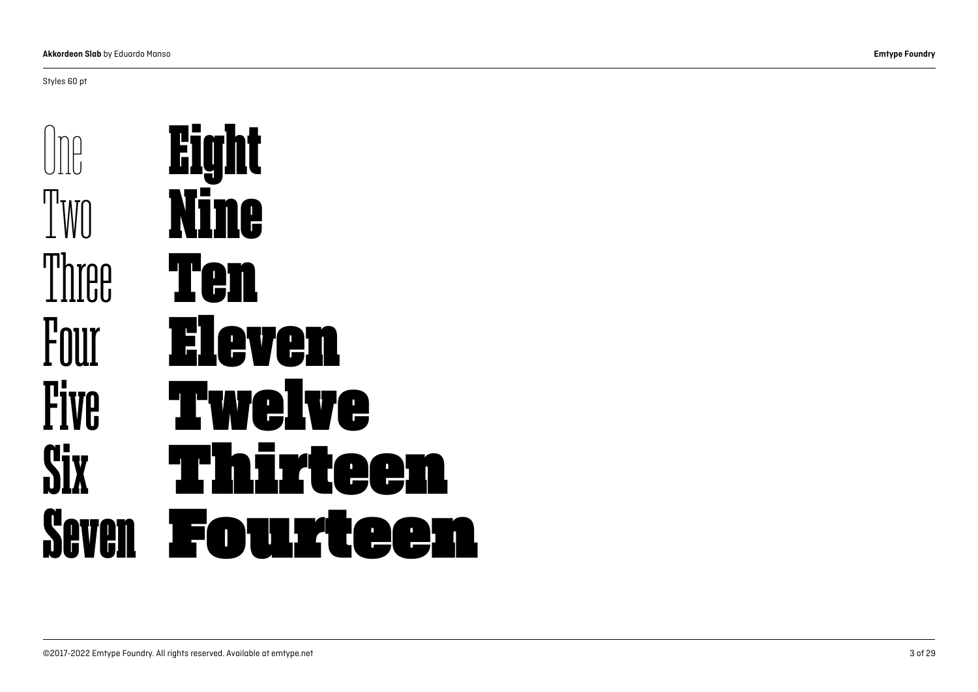Styles 60 pt

n<br>P I'MN Three Four **Five Six** Seven Eight Nine Ten Eleven Twelve Thirteen Fourteen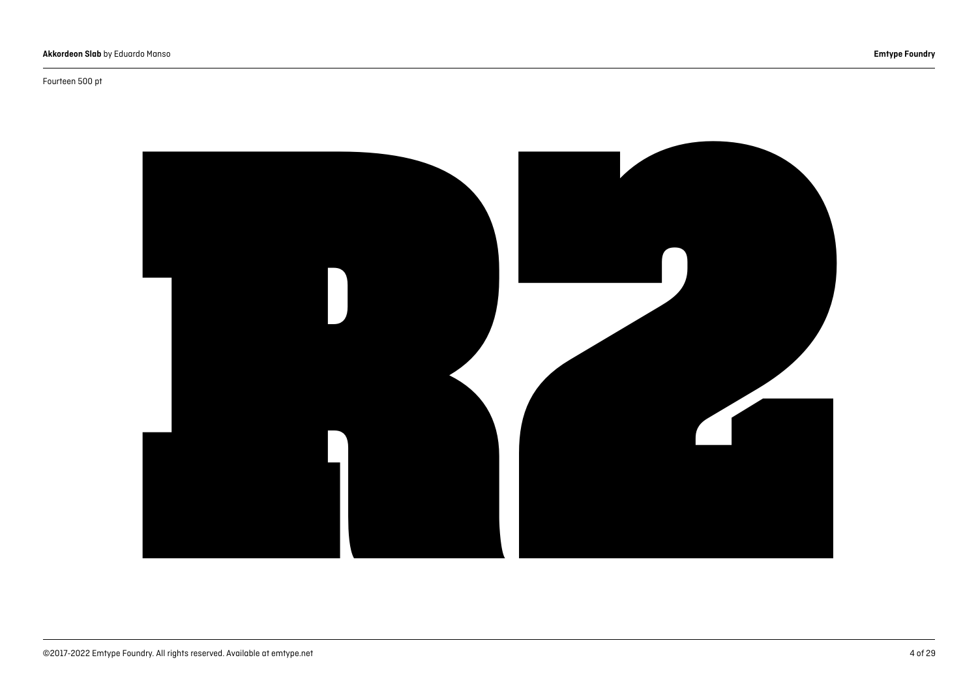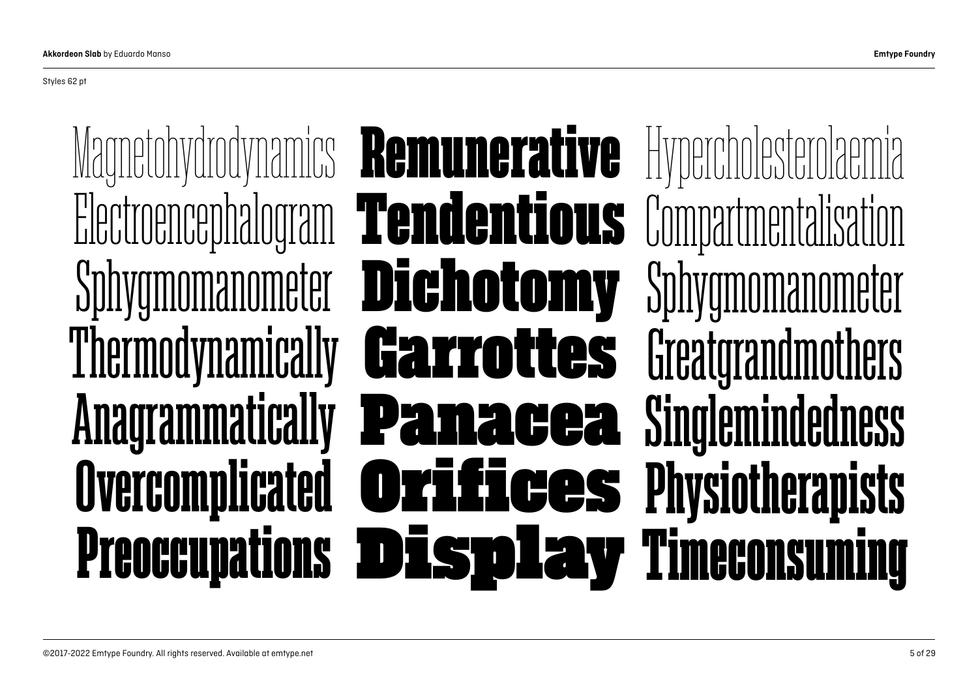Styles 62 pt

Magnetohydrodynamics Electroencephalogram Sphygmomanometer Thermodynamically Anagrammatically **Overcomplicated Preoccupations** Hypercholesterolaemia Compartmentalisation Sphygmomanometer **Greatgrandmothers** Singlemindedness Physiotherapists Timeconsuming Remunerative Tendentious Dichotomy Garrottes Panacea Orifices Display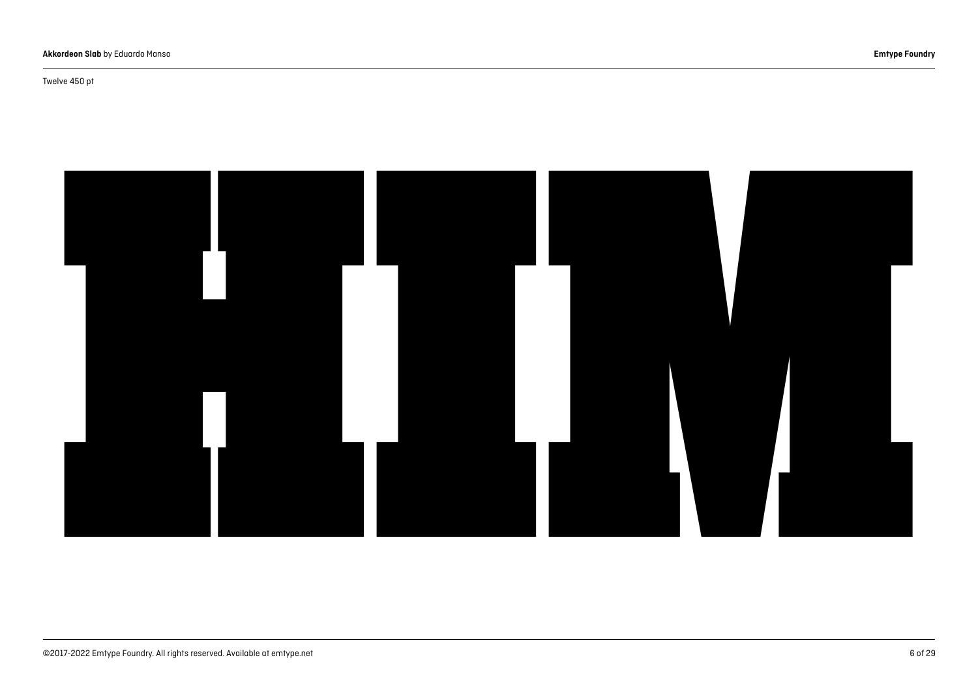#### Twelve 450 pt

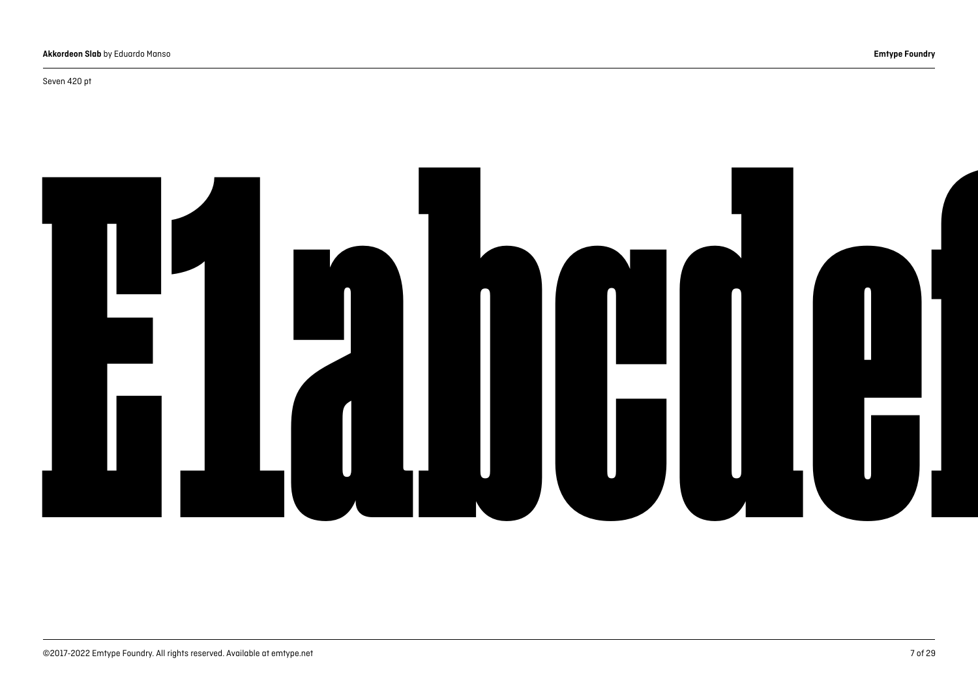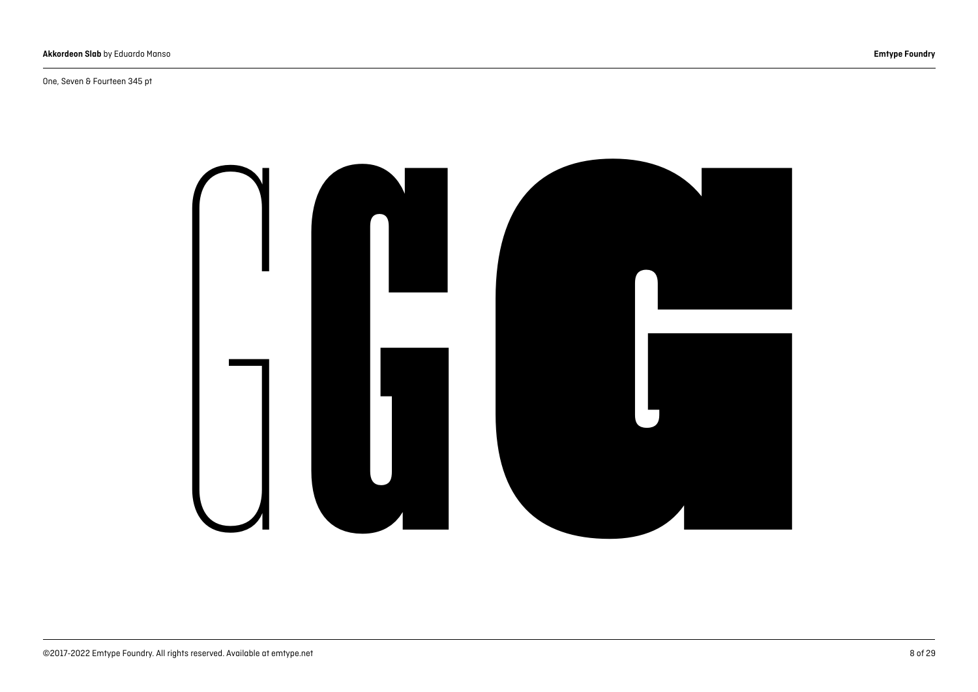#### One, Seven & Fourteen 345 pt

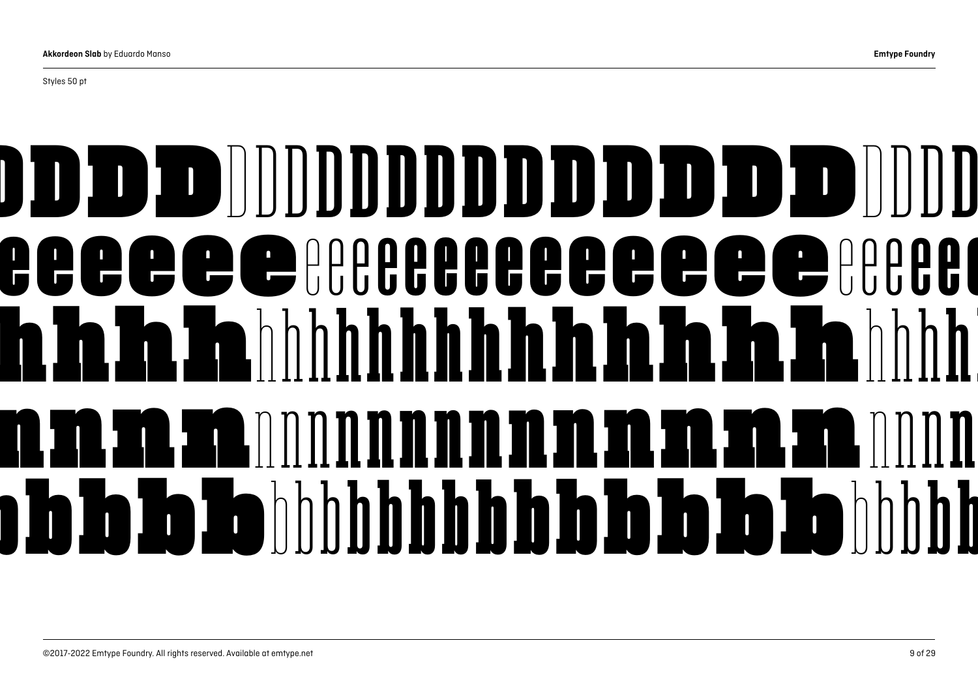## DDDDDD DDDDDDDDDDDDD DDDDDDDDDDDDDD DDDDDDDD eeeeeereeeeeeeeee hhhhhh hhhhhhhhhhhhhh hhhhhhhhhhhhhh hhhhhhhh nnnnnn nnnnnnnnnnnnnn nnnnnnnnnnnnnn nnnnnnnn bbbbbb bbbbbbbbbbbbbb bbbbbbbbbbbbbb bbbbbbbb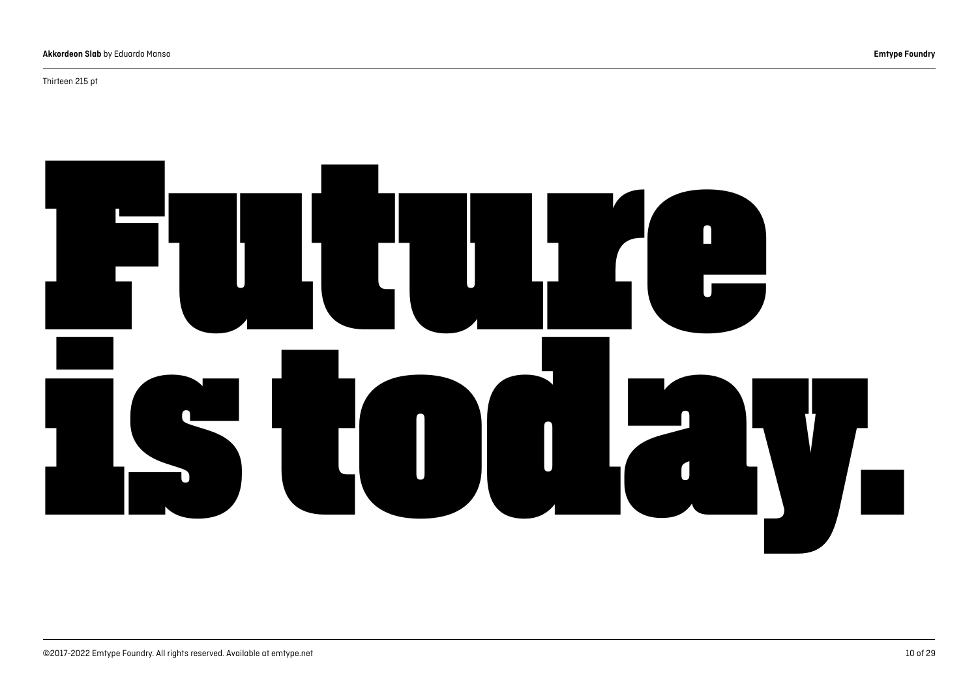#### Thirteen 215 pt

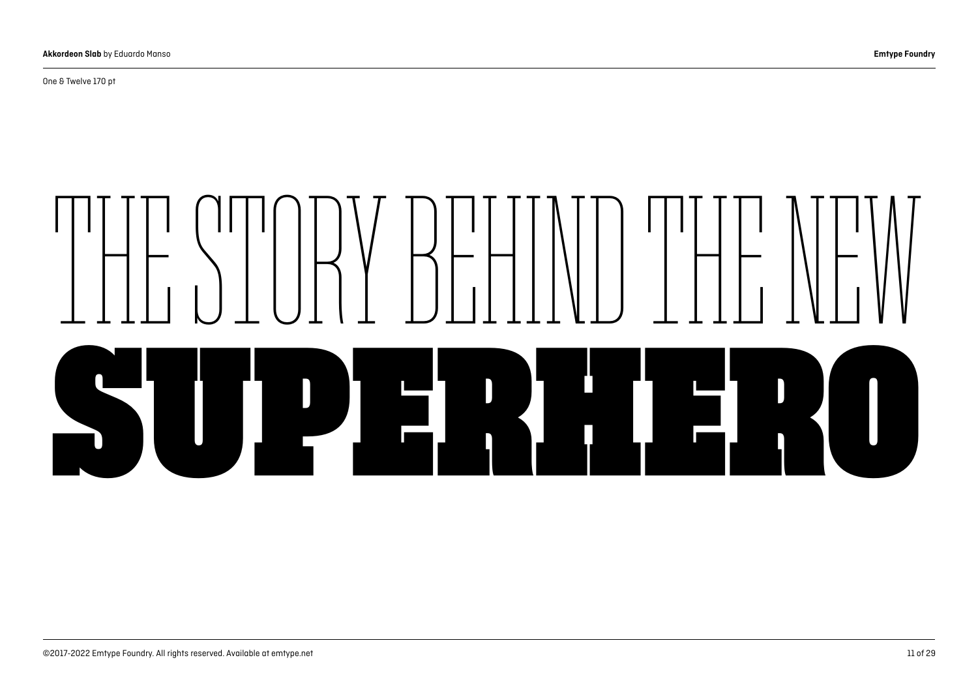One & Twelve 170 pt

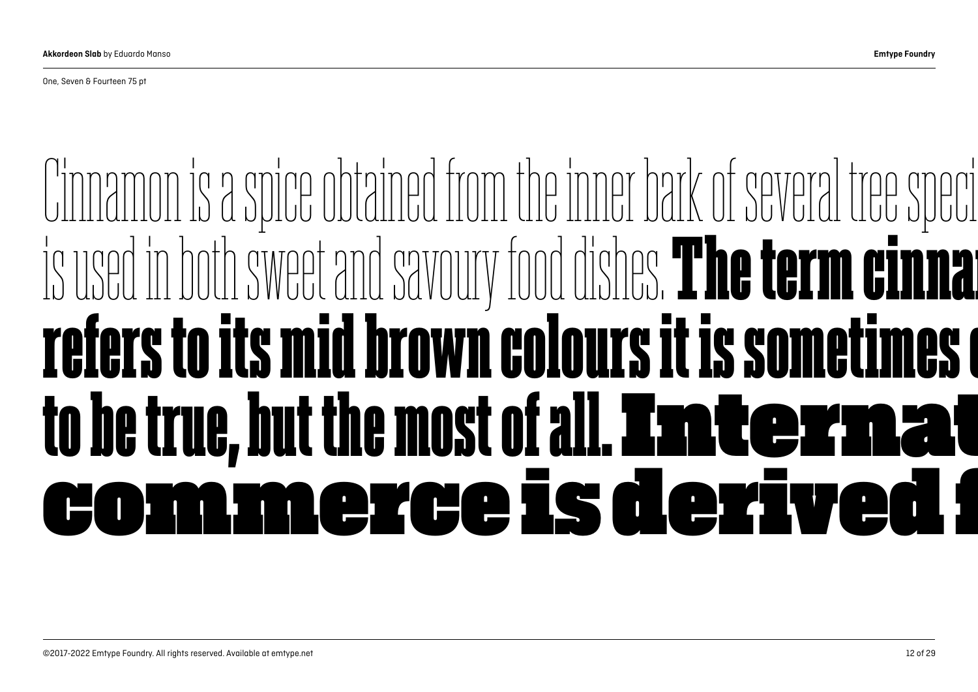One, Seven & Fourteen 75 pt

### Cinnamon is a [spice](https://en.wikipedia.org/wiki/Spice) obtained from the inner bark of several tree speci used in both sweet and savoury food dishes. The term cinna refers to its mid brown colours it is sometimes to be true, but the most of all. **Internat** ommerce is derived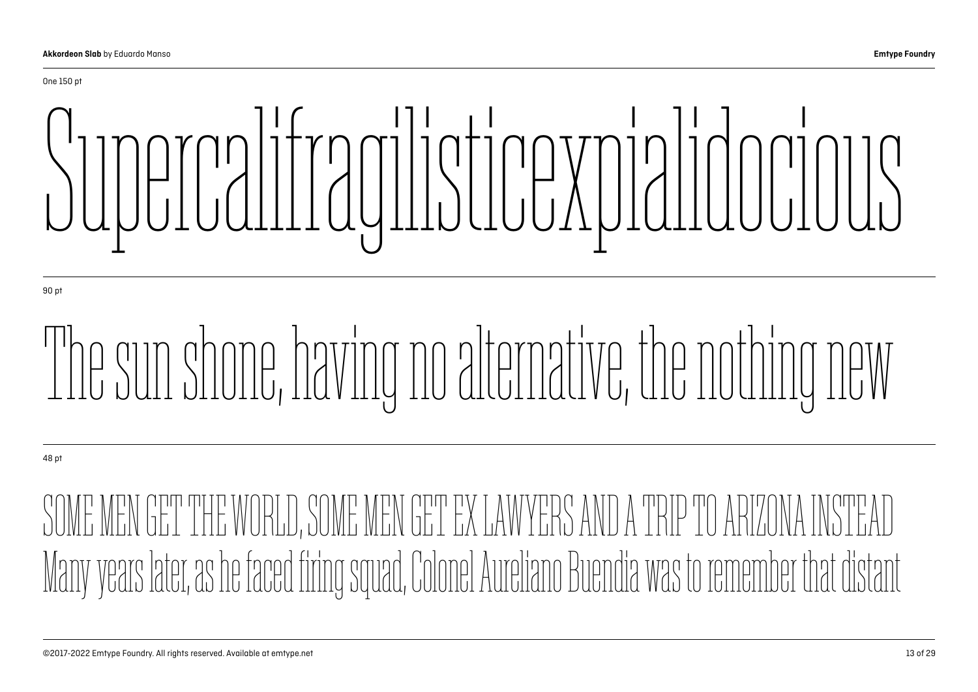

90 pt

## The sun shone, having no alternative, the nothing new

48 pt

E MEN GET THE WORLD, SOME MEN GET EX LAWYERS Many years later, as he faced firing squad, Colonel Aureliano Buendia was to remember that distant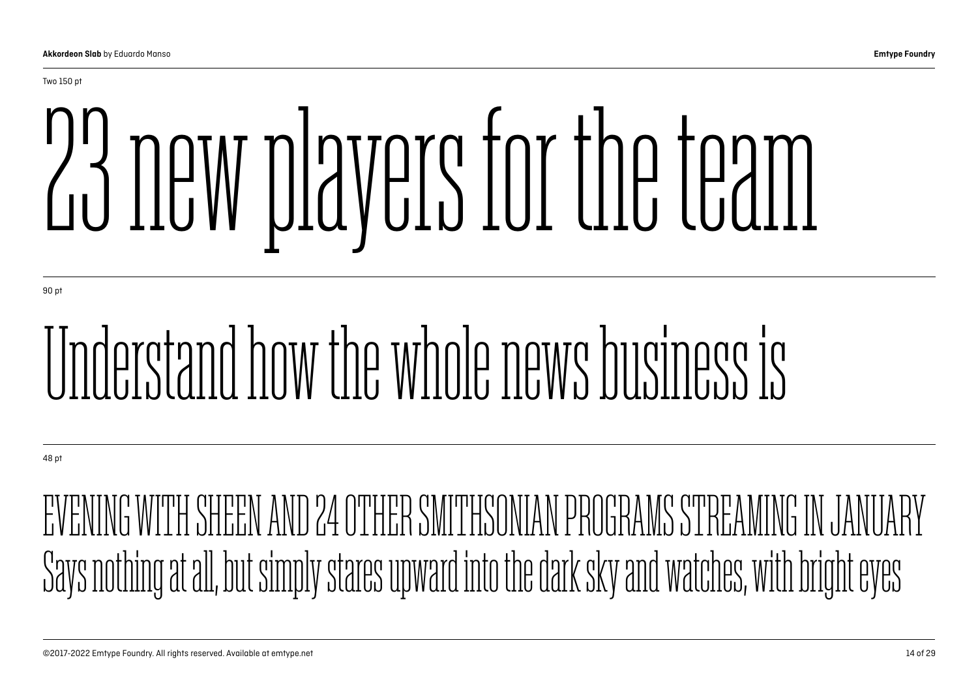# 23 new players for the team

90 pt

## Understand how the whole news business is

48 pt

ENG WITH SHEEN AND 24 OTHER SMITHSONIAN PROGRAMS STREAMING IN J Says nothing at all, but simply stares upward into the dark sky and watches, with bright eyes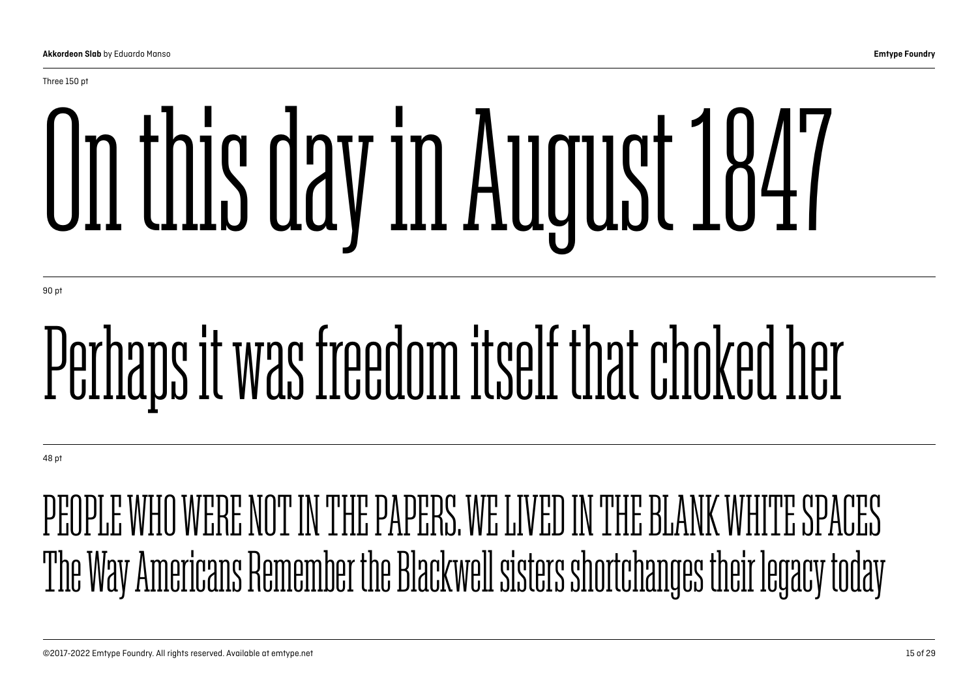# On this day in August 1847

90 pt

## Perhaps it was freedom itself that choked her

48 pt

#### PEOPLE WHO WERE NOT IN THE PAPERS. WE LIVED IN THE BLANK WHITE SPACES The Way Americans Remember the Blackwell sisters shortchanges their legacy today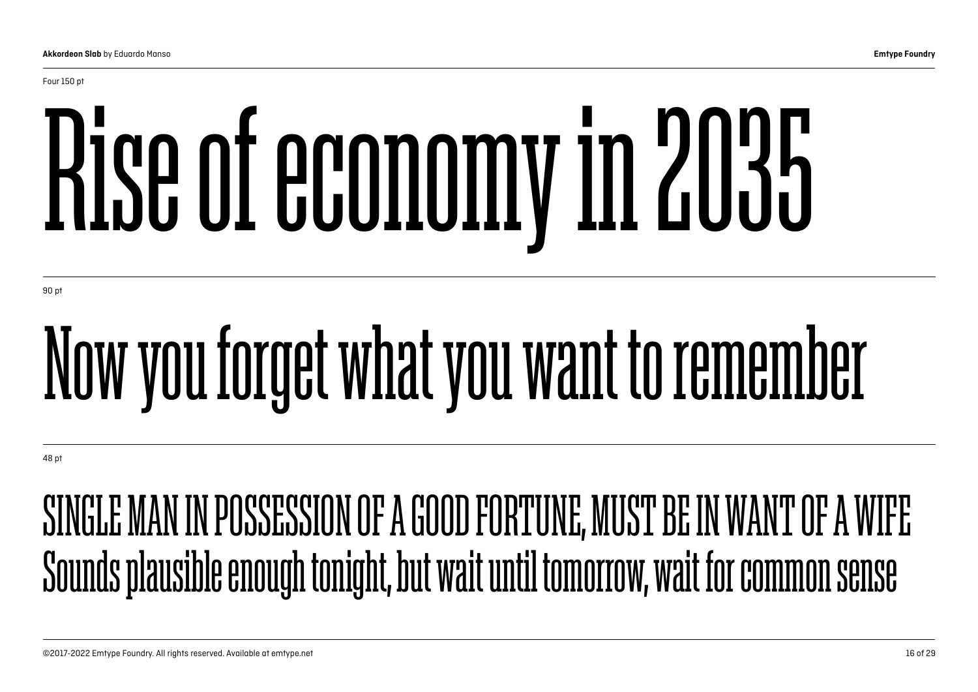Four 150 pt

# Rise of economy in 2035

90 pt

## Now you forget what you want to remember

48 pt

### SINGLE MAN IN POSSESSION OF A GOOD FORTUNE, MUST BE IN WANT OF A WIFE Sounds plausible enough tonight, but wait until tomorrow, wait for common sense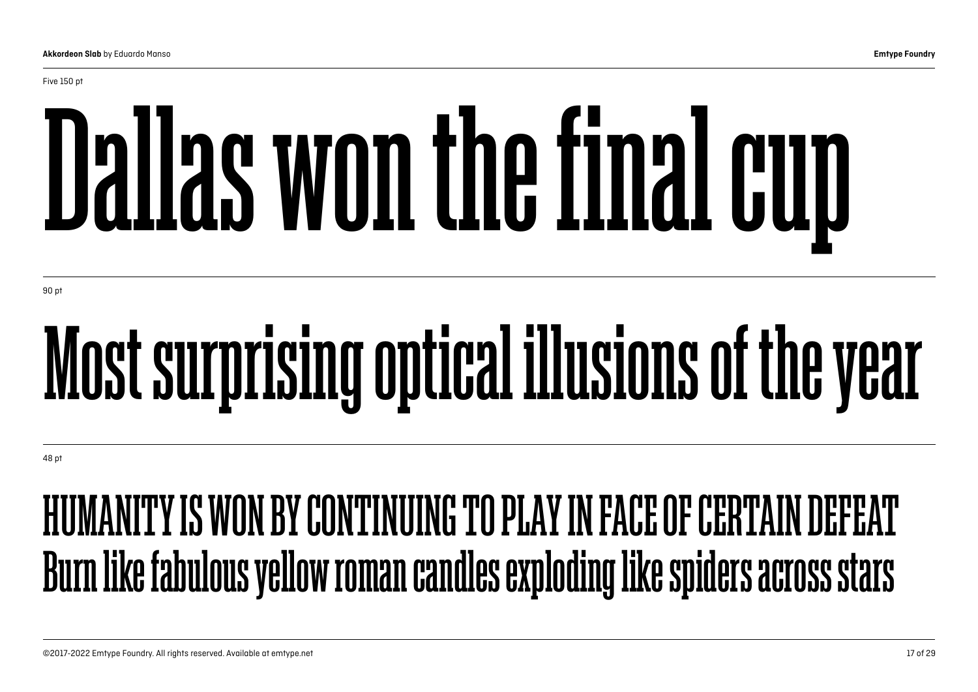# Dallas won the final cup

90 pt

## Most surprising optical illusions of the year

48 pt

### HUMANITY IS WON BY CONTINUING TO PLAY IN FACE OF CERTAIN DEFEAT Burn like fabulous yellow roman candles exploding like spiders across stars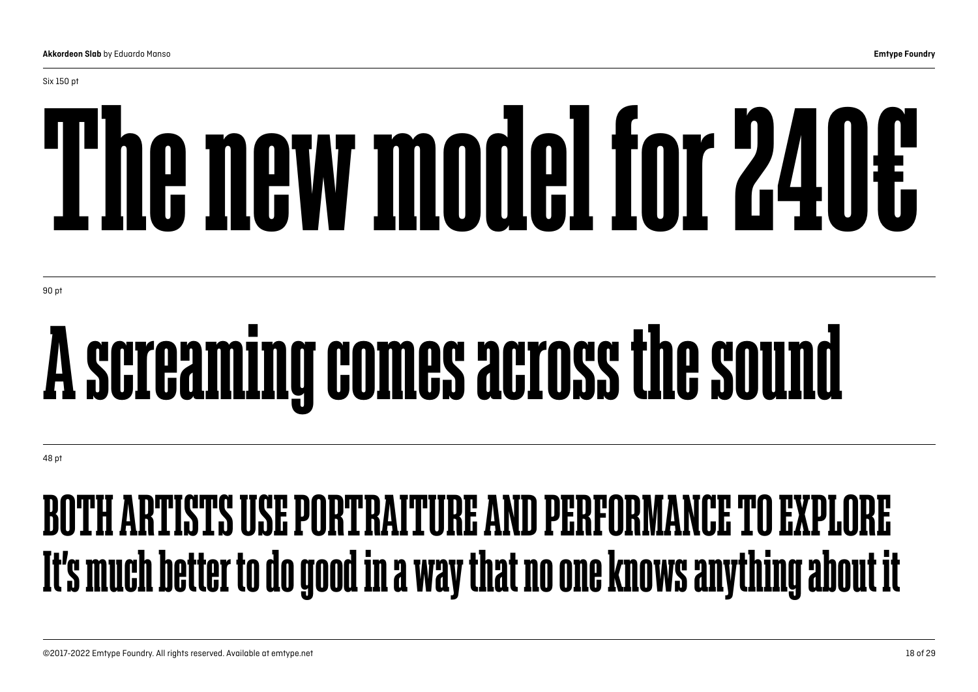# The new model for 240€

90 pt

Six 150 pt

## A screaming comes across the sound

48 pt

### BOTH ARTISTS USE PORTRAITURE AND PERFORMANCE TO EXPLORE It's much better to do good in a way that no one knows anything about it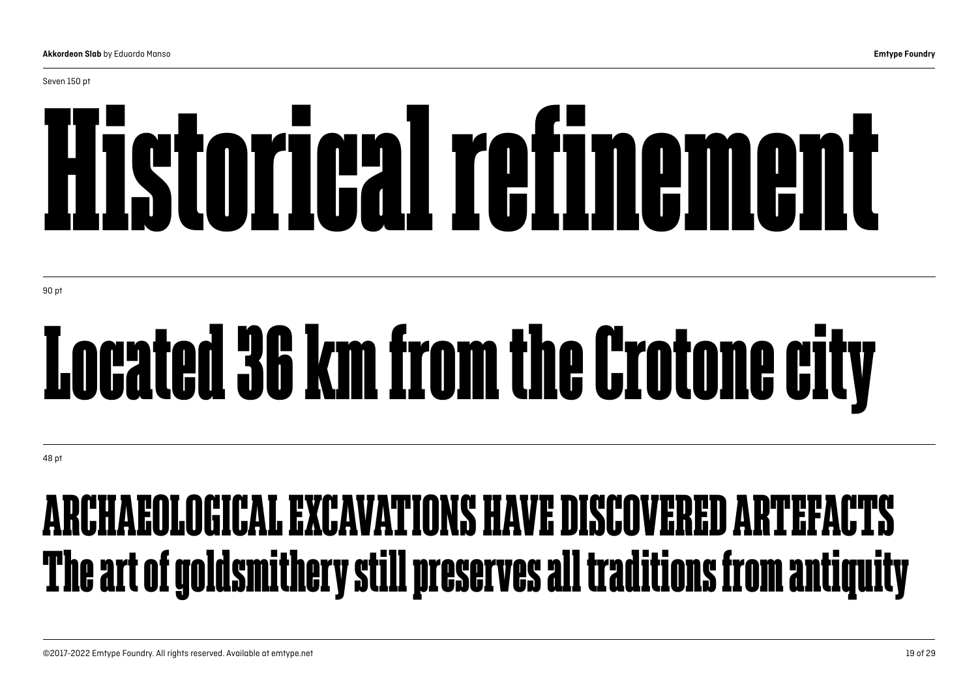Seven 150 pt

# Historical refinement

90 pt

## Located 36 km from the Crotone city

48 pt

### ARCHAEOLOGICAL EXCAVATIONS HAVE DISCOVERED ARTEFACTS The art of goldsmithery still preserves all traditions from antiquity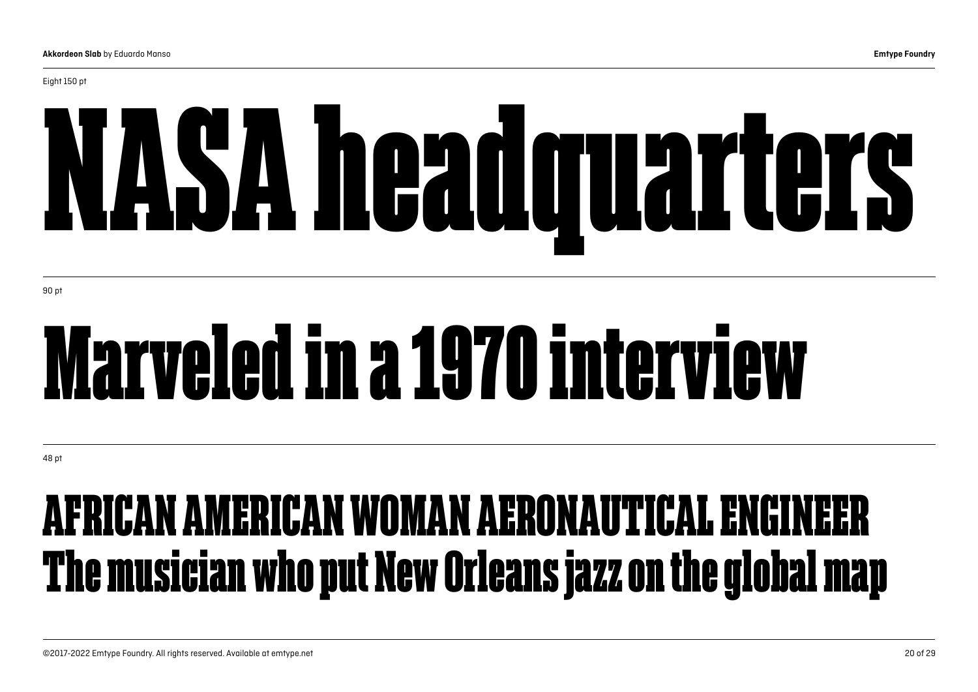# NASA headquarters

90 pt

## Marveled in a 1970 interview

48 pt

### AFRICAN AMERICAN WOMAN AERONAUTICAL ENGINEER The musician who put New Orleans jazz on the global map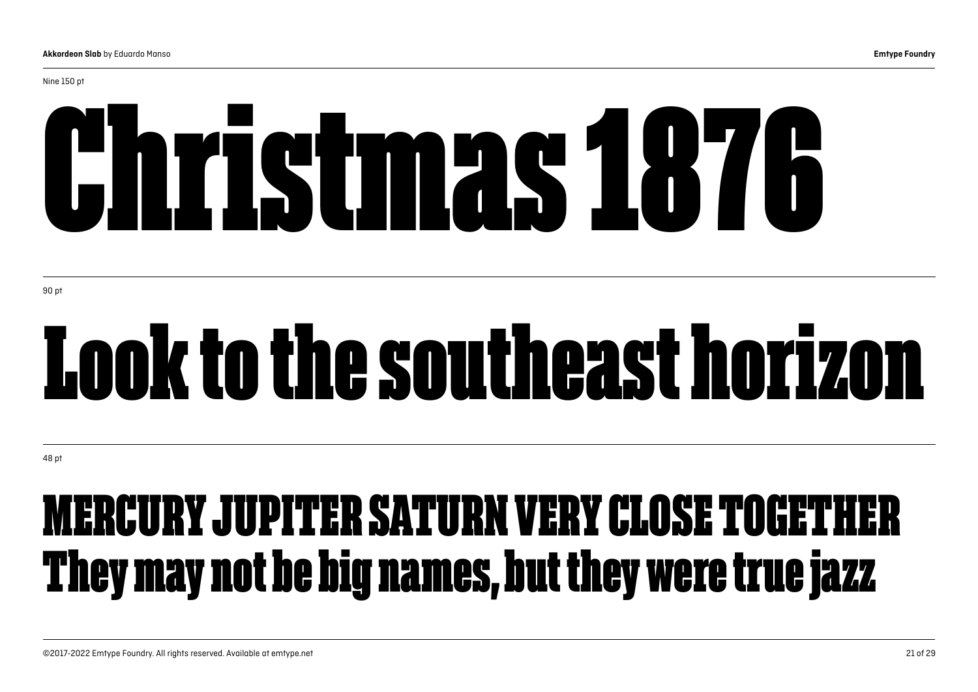Nine 150 pt

# Christmas 1876

90 pt

## Look to the southeast horizon

48 pt

### MERCURY JUPITER SATURN VERY CLOSE TOGETHER They may not be big names, but they were true jazz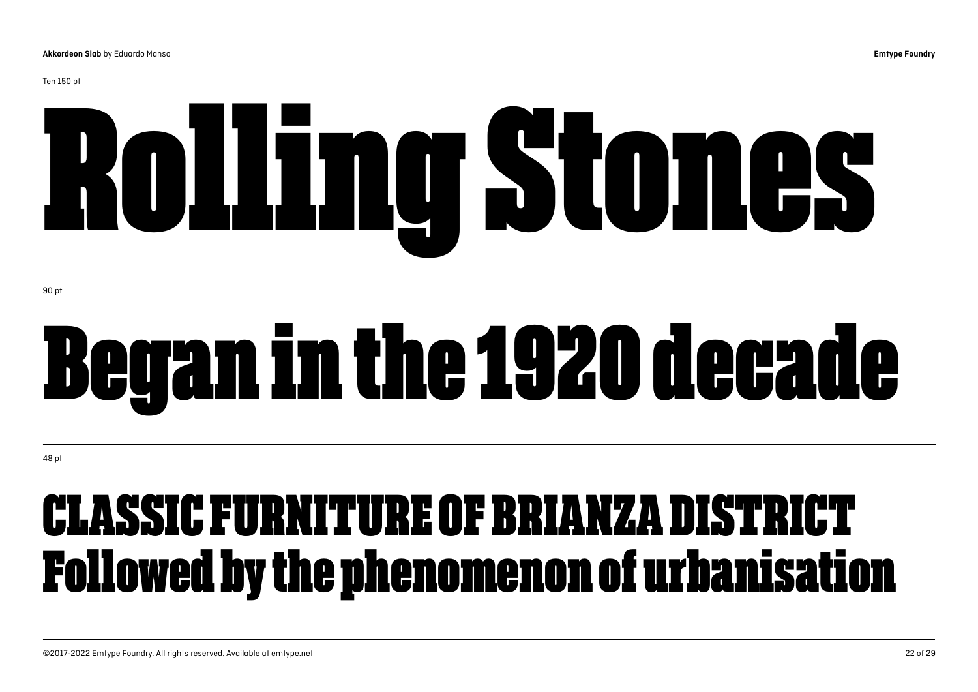# Rolling Stones

90 pt

Ten 150 pt

## Began in the 1920 decade

48 pt

### CLASSIC FURNITURE OF BRIANZA DISTRICT Followed by the phenomenon of urbanisation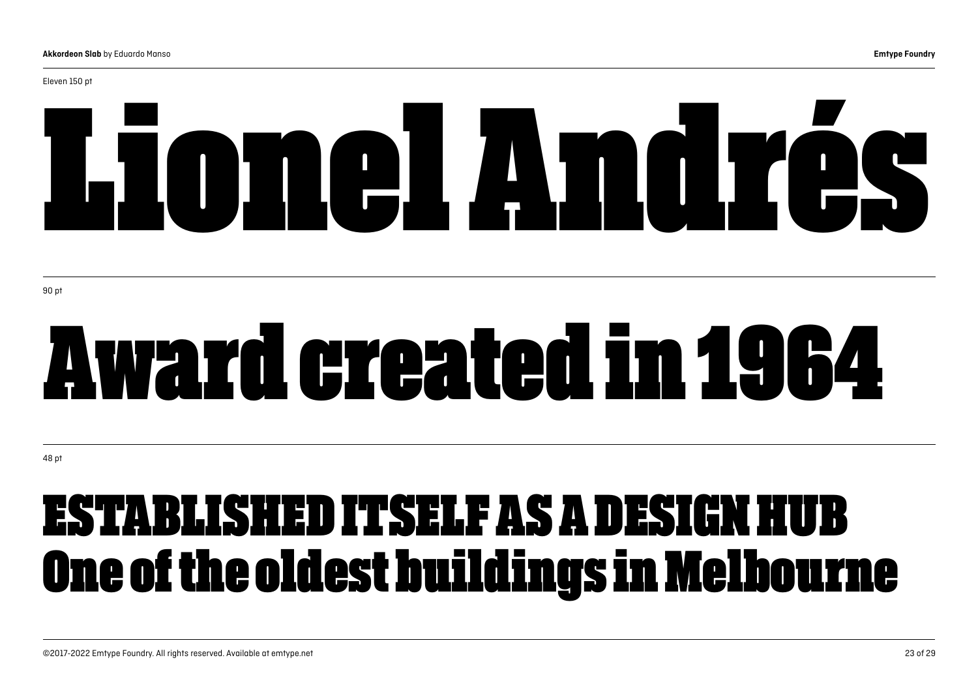#### Eleven 150 pt

# Lionel Andrés

## Award created in 1964

48 pt

### ESTABLISHED ITSELF AS A DESIGN HUB One of the oldest buildings in Melbourne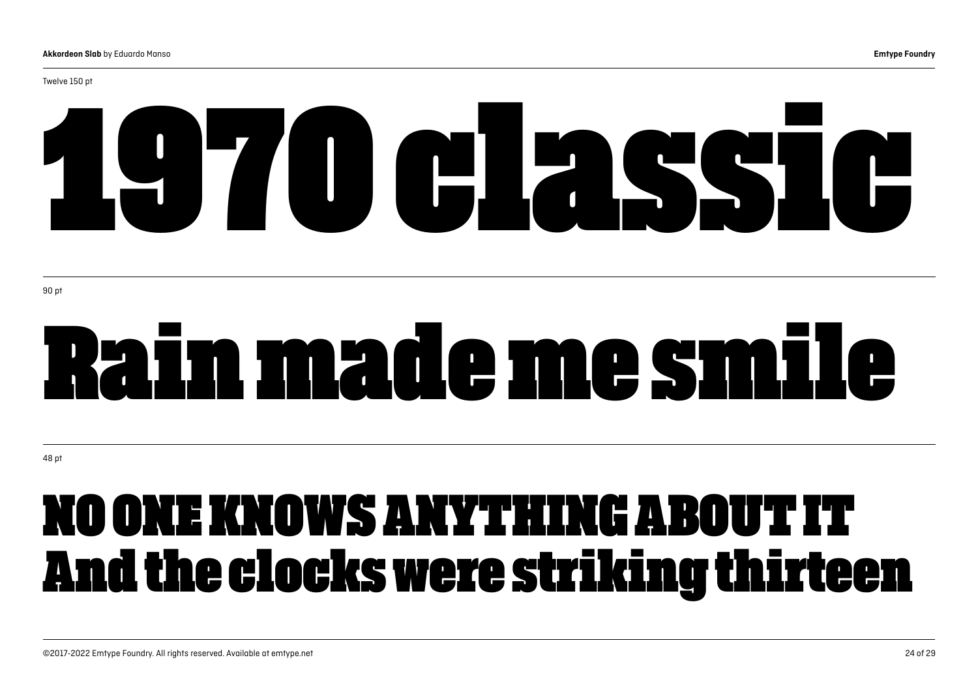#### Twelve 150 pt

# 1970 classic

## Rain made me smile

48 pt

### NO ONE KNOWS ANYTHING ABOUT IT And the clocks were striking thirteen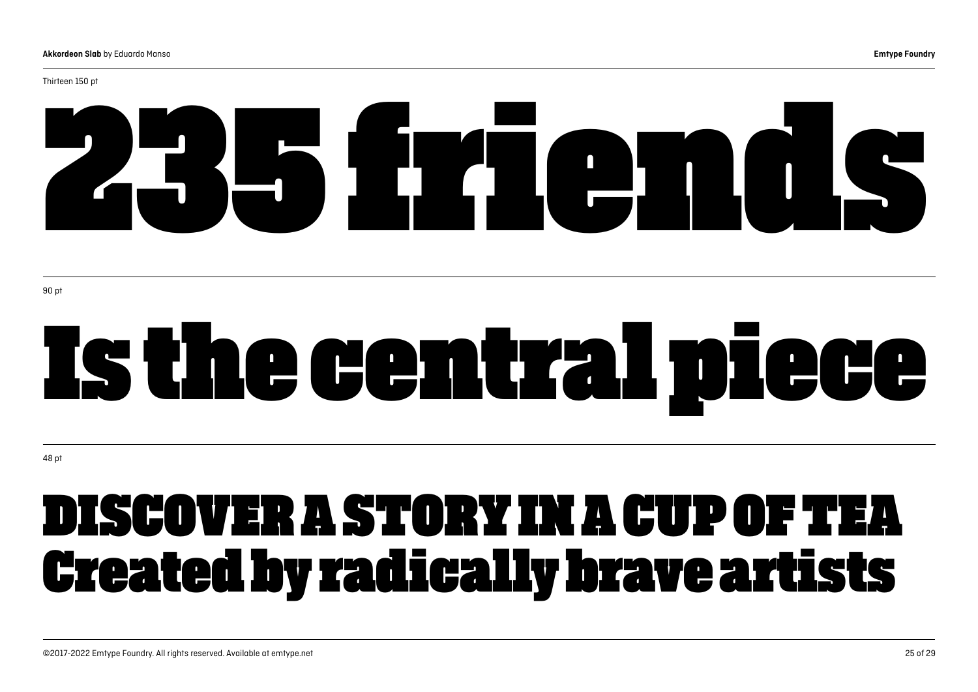#### Thirteen 150 pt

# 235 friends

# Is the central piece

48 pt

### DISCOVER A STORY IN A CUP OF TEA Created by radically brave artists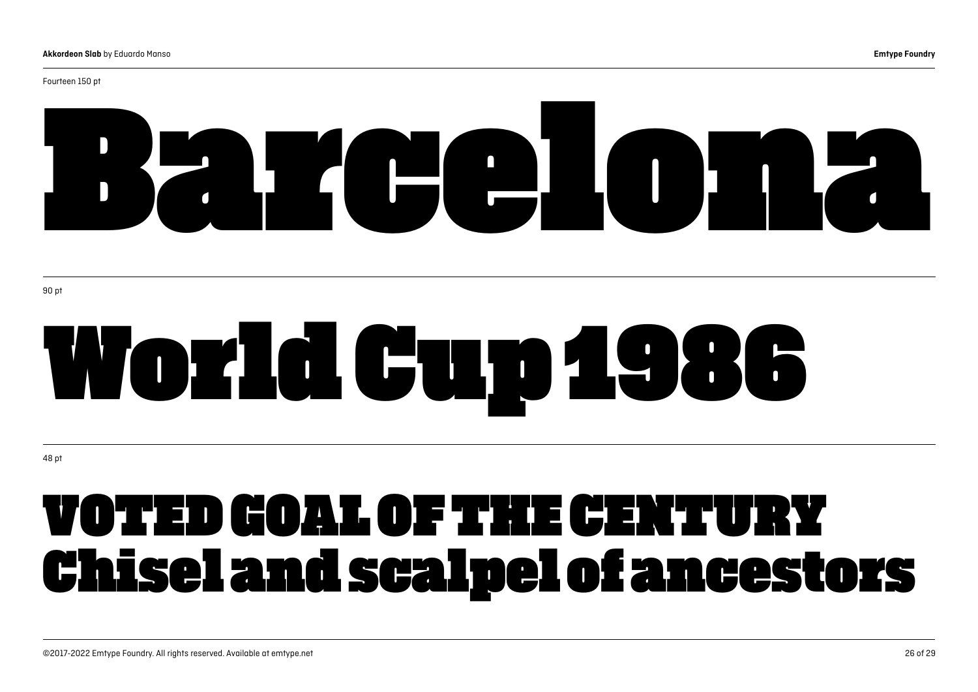# Barcelona.

90 pt

# World Cup 1986

48 pt

### VOTED GOAL OF THE CENTURY Chisel and scalpel of ancestors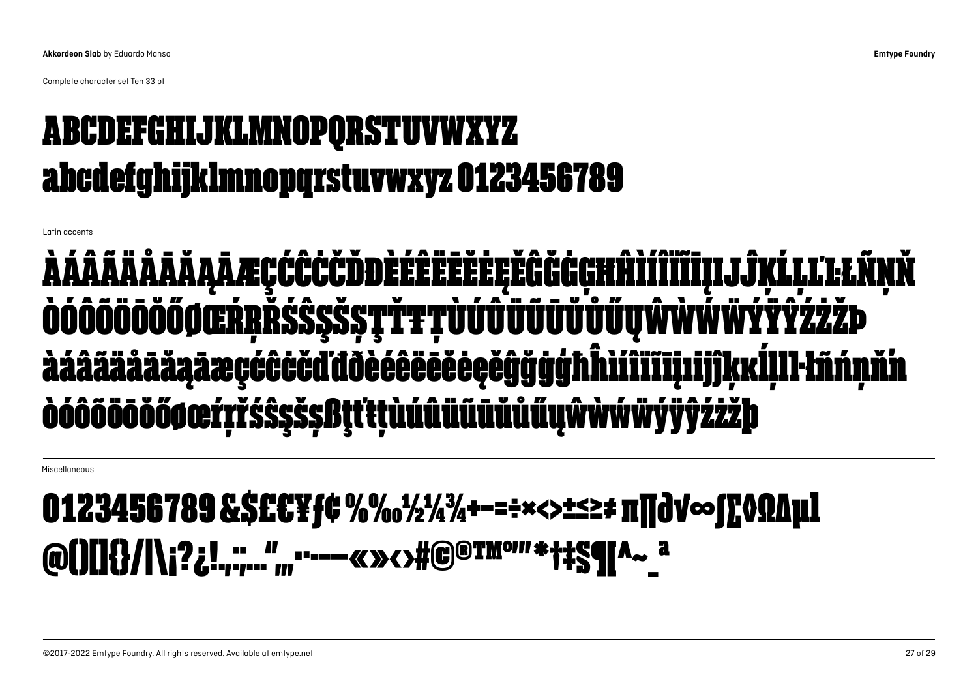Complete character set Ten 33 pt

#### ABCDEFGHIJKLMNOPQRSTUVWXYZ abcdefghijklmnopqrstuvwxyz 0123456789

Latin accents

#### ÀÁÂÃÄÅĀĂĄĀÆÇĆĈĊČĎĐÈÉÊËĒĔĖĘĚĜĞĠĢĦĤÌÍÎÏĨĪĮIJĴĶĹĻĽĿŁÑŅŇ ÒÓÖÖÖÖÖŐØŒŔŖŘŚŜŞŠŞŢŤŦŢŬŰŰŰŰŰŰŰŰŰŲŴŴŴŸŸŶŹŻŻÞ àáããääããåaäæcćĉċč őøœŕrřśŝsšsi

Miscellaneous

#### 0123456789&\$£€¥ƒ¢%‰½¼¾+−=÷×<>±≤≥≠π∏∂√∞∫∑◊ΩΔμl @()[]{}/|\;?¿!.......",,,...--«»<>#@®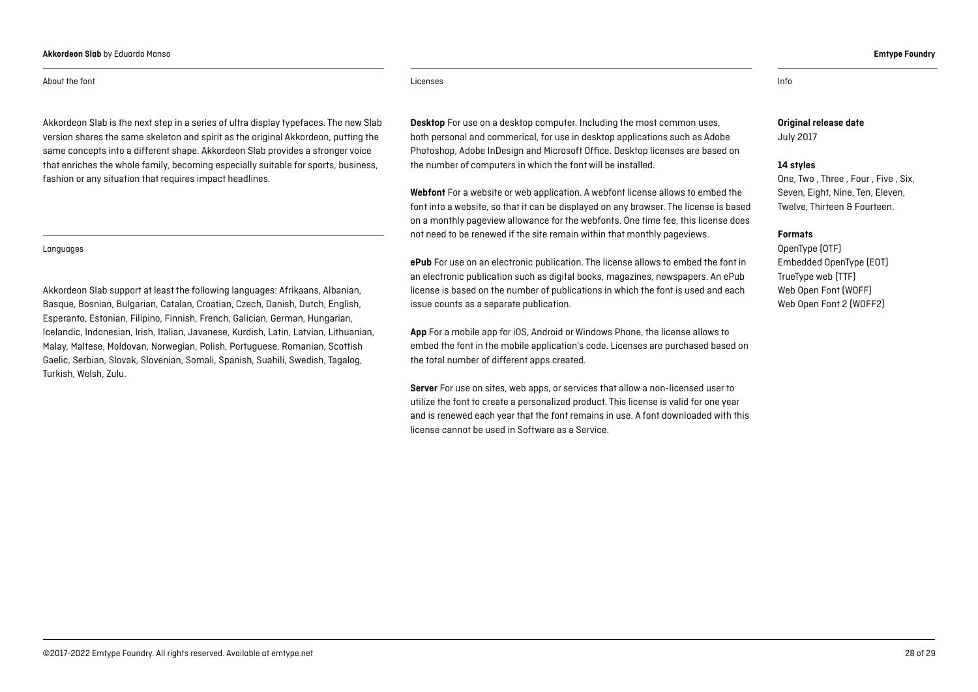#### **Akkordeon Slab** by Eduardo Manso **Emtype Foundry**

#### About the font **Licenses** info

Akkordeon Slab is the next step in a series of ultra display typefaces. The new Slab version shares the same skeleton and spirit as the original Akkordeon, putting the same concepts into a different shape. Akkordeon Slab provides a stronger voice that enriches the whole family, becoming especially suitable for sports, business, fashion or any situation that requires impact headlines.

#### Languages

Akkordeon Slab support at least the following languages: Afrikaans, Albanian, Basque, Bosnian, Bulgarian, Catalan, Croatian, Czech, Danish, Dutch, English, Esperanto, Estonian, Filipino, Finnish, French, Galician, German, Hungarian, Icelandic, Indonesian, Irish, Italian, Javanese, Kurdish, Latin, Latvian, Lithuanian, Malay, Maltese, Moldovan, Norwegian, Polish, Portuguese, Romanian, Scottish Gaelic, Serbian, Slovak, Slovenian, Somali, Spanish, Suahili, Swedish, Tagalog, Turkish, Welsh, Zulu.

**Desktop** For use on a desktop computer. Including the most common uses, both personal and commerical, for use in desktop applications such as Adobe Photoshop, Adobe InDesign and Microsoft Office. Desktop licenses are based on the number of computers in which the font will be installed.

**Webfont** For a website or web application. A webfont license allows to embed the font into a website, so that it can be displayed on any browser. The license is based on a monthly pageview allowance for the webfonts. One time fee, this license does not need to be renewed if the site remain within that monthly pageviews.

**ePub** For use on an electronic publication. The license allows to embed the font in an electronic publication such as digital books, magazines, newspapers. An ePub license is based on the number of publications in which the font is used and each issue counts as a separate publication.

**App** For a mobile app for iOS, Android or Windows Phone, the license allows to embed the font in the mobile application's code. Licenses are purchased based on the total number of different apps created.

**Server** For use on sites, web apps, or services that allow a non-licensed user to utilize the font to create a personalized product. This license is valid for one year and is renewed each year that the font remains in use. A font downloaded with this license cannot be used in Software as a Service.

#### **Original release date** July 2017

#### **14 styles**

One, Two , Three , Four , Five , Six, Seven, Eight, Nine, Ten, Eleven, Twelve, Thirteen & Fourteen.

#### **Formats**

OpenType (OTF) Embedded OpenType (EOT) TrueType web (TTF) [Web Open Font](https://ca.wikipedia.org/wiki/Web_Open_Font_Format) (WOFF) [Web Open Font 2](https://ca.wikipedia.org/wiki/Web_Open_Font_Format) (WOFF2)